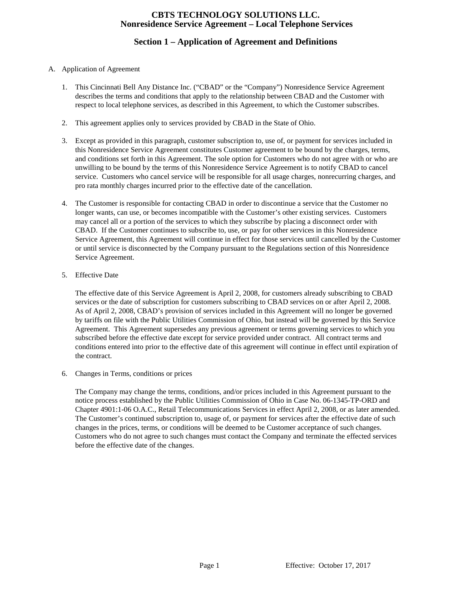# **Section 1 – Application of Agreement and Definitions**

### A. Application of Agreement

- 1. This Cincinnati Bell Any Distance Inc. ("CBAD" or the "Company") Nonresidence Service Agreement describes the terms and conditions that apply to the relationship between CBAD and the Customer with respect to local telephone services, as described in this Agreement, to which the Customer subscribes.
- 2. This agreement applies only to services provided by CBAD in the State of Ohio.
- 3. Except as provided in this paragraph, customer subscription to, use of, or payment for services included in this Nonresidence Service Agreement constitutes Customer agreement to be bound by the charges, terms, and conditions set forth in this Agreement. The sole option for Customers who do not agree with or who are unwilling to be bound by the terms of this Nonresidence Service Agreement is to notify CBAD to cancel service. Customers who cancel service will be responsible for all usage charges, nonrecurring charges, and pro rata monthly charges incurred prior to the effective date of the cancellation.
- 4. The Customer is responsible for contacting CBAD in order to discontinue a service that the Customer no longer wants, can use, or becomes incompatible with the Customer's other existing services. Customers may cancel all or a portion of the services to which they subscribe by placing a disconnect order with CBAD. If the Customer continues to subscribe to, use, or pay for other services in this Nonresidence Service Agreement, this Agreement will continue in effect for those services until cancelled by the Customer or until service is disconnected by the Company pursuant to the Regulations section of this Nonresidence Service Agreement.
- 5. Effective Date

The effective date of this Service Agreement is April 2, 2008, for customers already subscribing to CBAD services or the date of subscription for customers subscribing to CBAD services on or after April 2, 2008. As of April 2, 2008, CBAD's provision of services included in this Agreement will no longer be governed by tariffs on file with the Public Utilities Commission of Ohio, but instead will be governed by this Service Agreement. This Agreement supersedes any previous agreement or terms governing services to which you subscribed before the effective date except for service provided under contract. All contract terms and conditions entered into prior to the effective date of this agreement will continue in effect until expiration of the contract.

6. Changes in Terms, conditions or prices

The Company may change the terms, conditions, and/or prices included in this Agreement pursuant to the notice process established by the Public Utilities Commission of Ohio in Case No. 06-1345-TP-ORD and Chapter 4901:1-06 O.A.C., Retail Telecommunications Services in effect April 2, 2008, or as later amended. The Customer's continued subscription to, usage of, or payment for services after the effective date of such changes in the prices, terms, or conditions will be deemed to be Customer acceptance of such changes. Customers who do not agree to such changes must contact the Company and terminate the effected services before the effective date of the changes.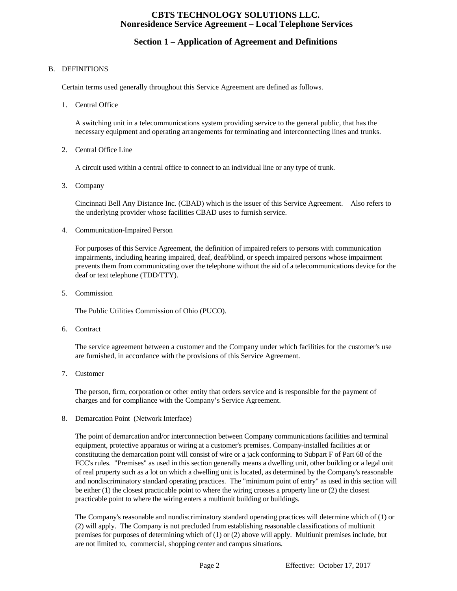# **Section 1 – Application of Agreement and Definitions**

### B. DEFINITIONS

Certain terms used generally throughout this Service Agreement are defined as follows.

1. Central Office

A switching unit in a telecommunications system providing service to the general public, that has the necessary equipment and operating arrangements for terminating and interconnecting lines and trunks.

2. Central Office Line

A circuit used within a central office to connect to an individual line or any type of trunk.

3. Company

Cincinnati Bell Any Distance Inc. (CBAD) which is the issuer of this Service Agreement. Also refers to the underlying provider whose facilities CBAD uses to furnish service.

4. Communication-Impaired Person

For purposes of this Service Agreement, the definition of impaired refers to persons with communication impairments, including hearing impaired, deaf, deaf/blind, or speech impaired persons whose impairment prevents them from communicating over the telephone without the aid of a telecommunications device for the deaf or text telephone (TDD/TTY).

5. Commission

The Public Utilities Commission of Ohio (PUCO).

6. Contract

The service agreement between a customer and the Company under which facilities for the customer's use are furnished, in accordance with the provisions of this Service Agreement.

7. Customer

The person, firm, corporation or other entity that orders service and is responsible for the payment of charges and for compliance with the Company's Service Agreement.

8. Demarcation Point (Network Interface)

The point of demarcation and/or interconnection between Company communications facilities and terminal equipment, protective apparatus or wiring at a customer's premises. Company-installed facilities at or constituting the demarcation point will consist of wire or a jack conforming to Subpart F of Part 68 of the FCC's rules. "Premises" as used in this section generally means a dwelling unit, other building or a legal unit of real property such as a lot on which a dwelling unit is located, as determined by the Company's reasonable and nondiscriminatory standard operating practices. The "minimum point of entry" as used in this section will be either (1) the closest practicable point to where the wiring crosses a property line or (2) the closest practicable point to where the wiring enters a multiunit building or buildings.

The Company's reasonable and nondiscriminatory standard operating practices will determine which of (1) or (2) will apply. The Company is not precluded from establishing reasonable classifications of multiunit premises for purposes of determining which of (1) or (2) above will apply. Multiunit premises include, but are not limited to, commercial, shopping center and campus situations.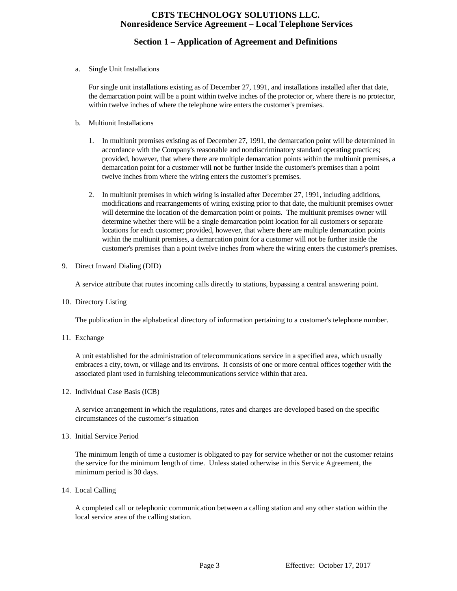# **Section 1 – Application of Agreement and Definitions**

a. Single Unit Installations

For single unit installations existing as of December 27, 1991, and installations installed after that date, the demarcation point will be a point within twelve inches of the protector or, where there is no protector, within twelve inches of where the telephone wire enters the customer's premises.

- b. Multiunit Installations
	- 1. In multiunit premises existing as of December 27, 1991, the demarcation point will be determined in accordance with the Company's reasonable and nondiscriminatory standard operating practices; provided, however, that where there are multiple demarcation points within the multiunit premises, a demarcation point for a customer will not be further inside the customer's premises than a point twelve inches from where the wiring enters the customer's premises.
	- 2. In multiunit premises in which wiring is installed after December 27, 1991, including additions, modifications and rearrangements of wiring existing prior to that date, the multiunit premises owner will determine the location of the demarcation point or points. The multiunit premises owner will determine whether there will be a single demarcation point location for all customers or separate locations for each customer; provided, however, that where there are multiple demarcation points within the multiunit premises, a demarcation point for a customer will not be further inside the customer's premises than a point twelve inches from where the wiring enters the customer's premises.
- 9. Direct Inward Dialing (DID)

A service attribute that routes incoming calls directly to stations, bypassing a central answering point.

10. Directory Listing

The publication in the alphabetical directory of information pertaining to a customer's telephone number.

11. Exchange

A unit established for the administration of telecommunications service in a specified area, which usually embraces a city, town, or village and its environs. It consists of one or more central offices together with the associated plant used in furnishing telecommunications service within that area.

12. Individual Case Basis (ICB)

A service arrangement in which the regulations, rates and charges are developed based on the specific circumstances of the customer's situation

13. Initial Service Period

The minimum length of time a customer is obligated to pay for service whether or not the customer retains the service for the minimum length of time. Unless stated otherwise in this Service Agreement, the minimum period is 30 days.

14. Local Calling

A completed call or telephonic communication between a calling station and any other station within the local service area of the calling station.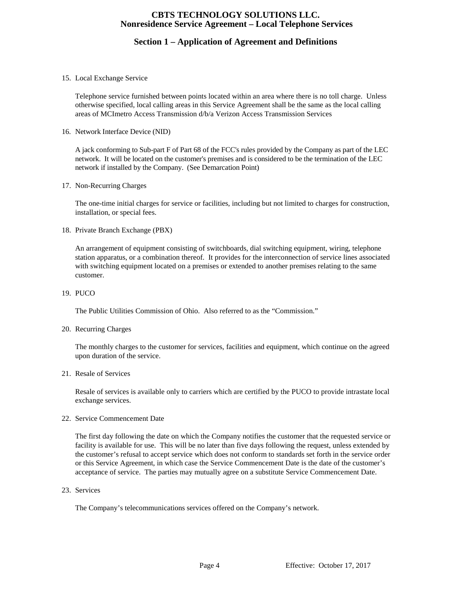# **Section 1 – Application of Agreement and Definitions**

#### 15. Local Exchange Service

Telephone service furnished between points located within an area where there is no toll charge. Unless otherwise specified, local calling areas in this Service Agreement shall be the same as the local calling areas of MCImetro Access Transmission d/b/a Verizon Access Transmission Services

16. Network Interface Device (NID)

A jack conforming to Sub-part F of Part 68 of the FCC's rules provided by the Company as part of the LEC network. It will be located on the customer's premises and is considered to be the termination of the LEC network if installed by the Company. (See Demarcation Point)

#### 17. Non-Recurring Charges

The one-time initial charges for service or facilities, including but not limited to charges for construction, installation, or special fees.

#### 18. Private Branch Exchange (PBX)

An arrangement of equipment consisting of switchboards, dial switching equipment, wiring, telephone station apparatus, or a combination thereof. It provides for the interconnection of service lines associated with switching equipment located on a premises or extended to another premises relating to the same customer.

#### 19. PUCO

The Public Utilities Commission of Ohio. Also referred to as the "Commission."

#### 20. Recurring Charges

The monthly charges to the customer for services, facilities and equipment, which continue on the agreed upon duration of the service.

#### 21. Resale of Services

Resale of services is available only to carriers which are certified by the PUCO to provide intrastate local exchange services.

22. Service Commencement Date

The first day following the date on which the Company notifies the customer that the requested service or facility is available for use. This will be no later than five days following the request, unless extended by the customer's refusal to accept service which does not conform to standards set forth in the service order or this Service Agreement, in which case the Service Commencement Date is the date of the customer's acceptance of service. The parties may mutually agree on a substitute Service Commencement Date.

23. Services

The Company's telecommunications services offered on the Company's network.